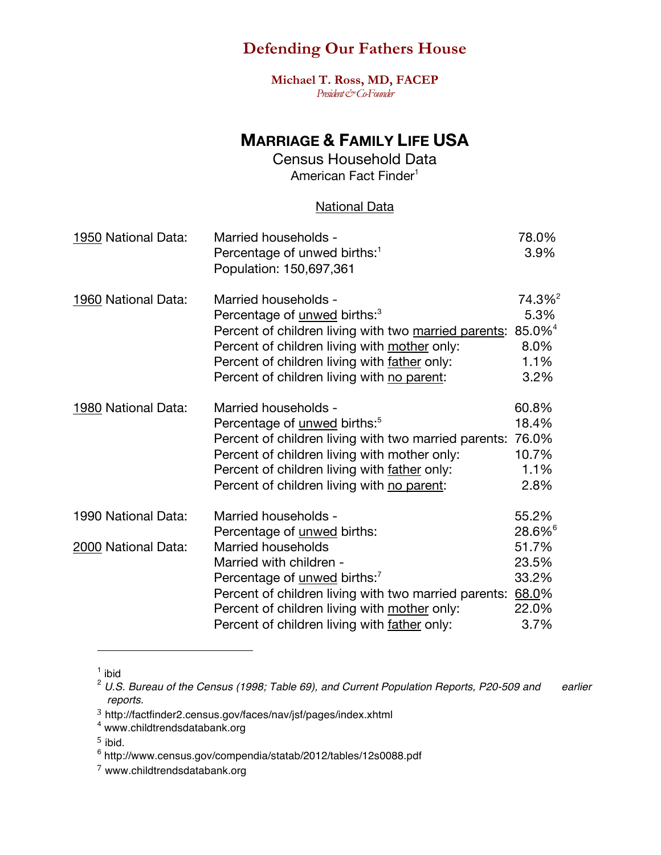**Michael T. Ross, MD, FACEP** *President & Co-Founder* 

## **MARRIAGE & FAMILY LIFE USA**

Census Household Data American Fact Finder<sup>1</sup>

#### National Data

| 1950 National Data: | Married households -<br>Percentage of unwed births: <sup>1</sup><br>Population: 150,697,361 | 78.0%<br>3.9%      |
|---------------------|---------------------------------------------------------------------------------------------|--------------------|
| 1960 National Data: | Married households -                                                                        | 74.3% <sup>2</sup> |
|                     | Percentage of <i>unwed</i> births: <sup>3</sup>                                             | 5.3%               |
|                     | Percent of children living with two married parents:                                        | 85.0% <sup>4</sup> |
|                     | Percent of children living with mother only:                                                | 8.0%               |
|                     | Percent of children living with father only:                                                | 1.1%               |
|                     | Percent of children living with no parent:                                                  | 3.2%               |
| 1980 National Data: | Married households -                                                                        | 60.8%              |
|                     | Percentage of <u>unwed</u> births: <sup>5</sup>                                             | 18.4%              |
|                     | Percent of children living with two married parents:                                        | 76.0%              |
|                     | Percent of children living with mother only:                                                | 10.7%              |
|                     | Percent of children living with father only:                                                | 1.1%               |
|                     | Percent of children living with no parent:                                                  | 2.8%               |
| 1990 National Data: | Married households -                                                                        | 55.2%              |
|                     | Percentage of unwed births:                                                                 | 28.6% <sup>6</sup> |
| 2000 National Data: | Married households                                                                          | 51.7%              |
|                     | Married with children -                                                                     | 23.5%              |
|                     | Percentage of <u>unwed</u> births: <sup>7</sup>                                             | 33.2%              |
|                     | Percent of children living with two married parents:                                        | 68.0%              |
|                     | Percent of children living with mother only:                                                | 22.0%              |
|                     | Percent of children living with father only:                                                | 3.7%               |

 $<sup>1</sup>$  ibid</sup>

<sup>2</sup> *U.S. Bureau of the Census (1998; Table 69), and Current Population Reports, P20-509 and earlier reports.*

<sup>3</sup> http://factfinder2.census.gov/faces/nav/jsf/pages/index.xhtml

<sup>4</sup> www.childtrendsdatabank.org

 $5$  ibid.

<sup>6</sup> http://www.census.gov/compendia/statab/2012/tables/12s0088.pdf

<sup>7</sup> www.childtrendsdatabank.org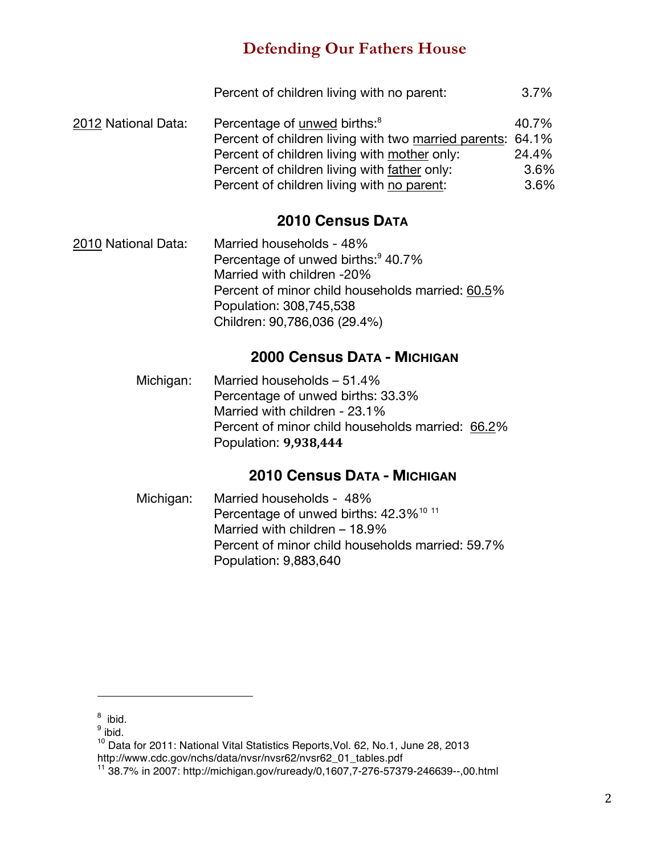|                     | Percent of children living with no parent:                 | $3.7\%$ |
|---------------------|------------------------------------------------------------|---------|
| 2012 National Data: | Percentage of unwed births: <sup>8</sup>                   | 40.7%   |
|                     | Percent of children living with two married parents: 64.1% |         |
|                     | Percent of children living with mother only:               | 24.4%   |
|                     | Percent of children living with father only:               | 3.6%    |
|                     | Percent of children living with no parent:                 | 3.6%    |

## **2010 Census DATA**

2010 National Data: Married households - 48% Percentage of unwed births:<sup>9</sup> 40.7% Married with children -20% Percent of minor child households married: 60.5% Population: 308,745,538 Children: 90,786,036 (29.4%)

### **2000 Census DATA - MICHIGAN**

Michigan: Married households – 51.4% Percentage of unwed births: 33.3% Married with children - 23.1% Percent of minor child households married: 66.2% Population: **9,938,444**

### **2010 Census DATA - MICHIGAN**

Michigan: Married households - 48% Percentage of unwed births: 42.3%<sup>10 11</sup> Married with children – 18.9% Percent of minor child households married: 59.7% Population: 9,883,640

<sup>&</sup>lt;sup>8</sup> ibid.

<sup>&</sup>lt;sup>9</sup> ibid.

<sup>&</sup>lt;sup>10</sup> Data for 2011: National Vital Statistics Reports, Vol. 62, No.1, June 28, 2013 http://www.cdc.gov/nchs/data/nvsr/nvsr62/nvsr62\_01\_tables.pdf

<sup>11 38.7%</sup> in 2007: http://michigan.gov/ruready/0,1607,7-276-57379-246639--,00.html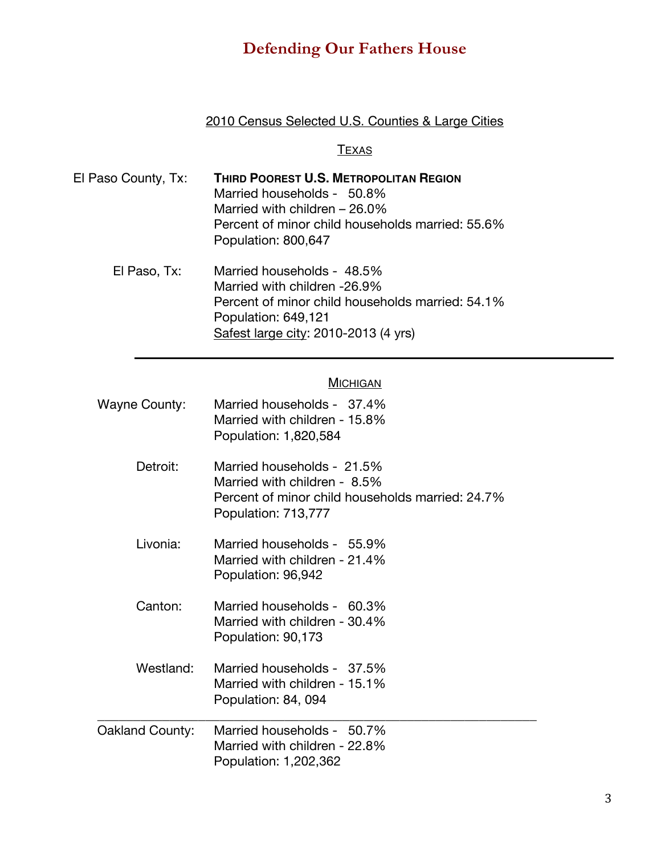### 2010 Census Selected U.S. Counties & Large Cities

### **TEXAS**

| El Paso County, Tx: | <b>THIRD POOREST U.S. METROPOLITAN REGION</b><br>Married households - 50.8%<br>Married with children $-26.0\%$<br>Percent of minor child households married: 55.6%<br>Population: 800,647 |
|---------------------|-------------------------------------------------------------------------------------------------------------------------------------------------------------------------------------------|
| El Paso, Tx:        | Married households - 48.5%<br>Married with children -26.9%                                                                                                                                |

Percent of minor child households married: 54.1% Population: 649,121 Safest large city: 2010-2013 (4 yrs)

### **MICHIGAN**

| Wayne County:   | Married households - 37.4%<br>Married with children - 15.8%<br>Population: 1,820,584                                                  |
|-----------------|---------------------------------------------------------------------------------------------------------------------------------------|
| Detroit:        | Married households - 21.5%<br>Married with children - 8.5%<br>Percent of minor child households married: 24.7%<br>Population: 713,777 |
| Livonia:        | Married households - 55.9%<br>Married with children - 21.4%<br>Population: 96,942                                                     |
| Canton:         | Married households - 60.3%<br>Married with children - 30.4%<br>Population: 90,173                                                     |
| Westland:       | Married households - 37.5%<br>Married with children - 15.1%<br>Population: 84, 094                                                    |
| Oakland County: | Married households - 50.7%<br>Married with children - 22.8%<br>Population: 1,202,362                                                  |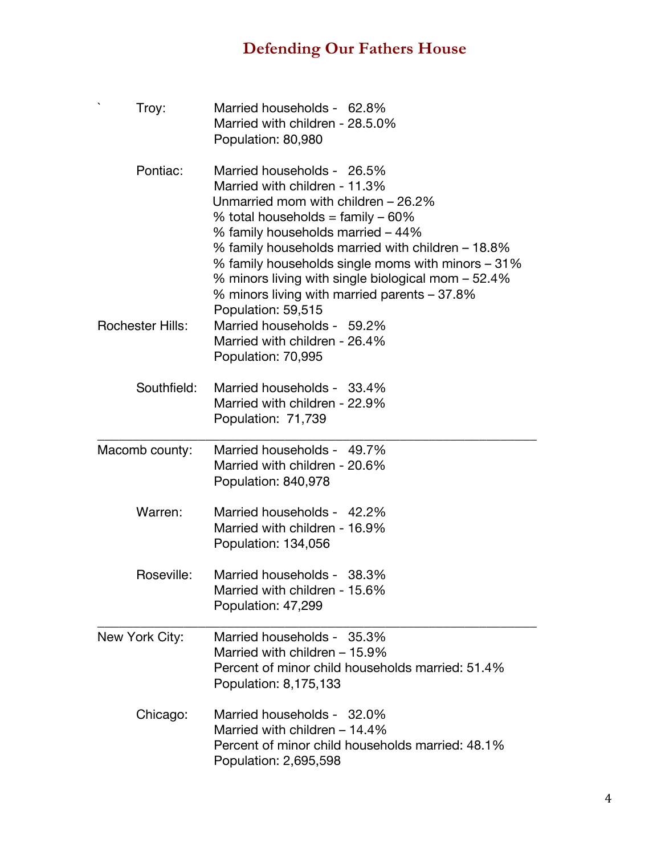| Troy:                   | Married households - 62.8%<br>Married with children - 28.5.0%<br>Population: 80,980                                                                                                                                                                                                                                                                                                                                  |
|-------------------------|----------------------------------------------------------------------------------------------------------------------------------------------------------------------------------------------------------------------------------------------------------------------------------------------------------------------------------------------------------------------------------------------------------------------|
| Pontiac:                | Married households - 26.5%<br>Married with children - 11.3%<br>Unmarried mom with children – 26.2%<br>% total households = $family -60\%$<br>% family households married – 44%<br>% family households married with children – 18.8%<br>% family households single moms with minors – 31%<br>% minors living with single biological mom – 52.4%<br>% minors living with married parents – 37.8%<br>Population: 59,515 |
| <b>Rochester Hills:</b> | Married households - 59.2%<br>Married with children - 26.4%<br>Population: 70,995                                                                                                                                                                                                                                                                                                                                    |
| Southfield:             | Married households - 33.4%<br>Married with children - 22.9%<br>Population: 71,739                                                                                                                                                                                                                                                                                                                                    |
| Macomb county:          | Married households - 49.7%<br>Married with children - 20.6%<br>Population: 840,978                                                                                                                                                                                                                                                                                                                                   |
| Warren:                 | Married households - 42.2%<br>Married with children - 16.9%<br>Population: 134,056                                                                                                                                                                                                                                                                                                                                   |
| Roseville:              | Married households - 38.3%<br>Married with children - 15.6%<br>Population: 47,299                                                                                                                                                                                                                                                                                                                                    |
| New York City:          | Married households - 35.3%<br>Married with children - 15.9%<br>Percent of minor child households married: 51.4%<br>Population: 8,175,133                                                                                                                                                                                                                                                                             |
| Chicago:                | Married households - 32.0%<br>Married with children $-14.4\%$<br>Percent of minor child households married: 48.1%<br>Population: 2,695,598                                                                                                                                                                                                                                                                           |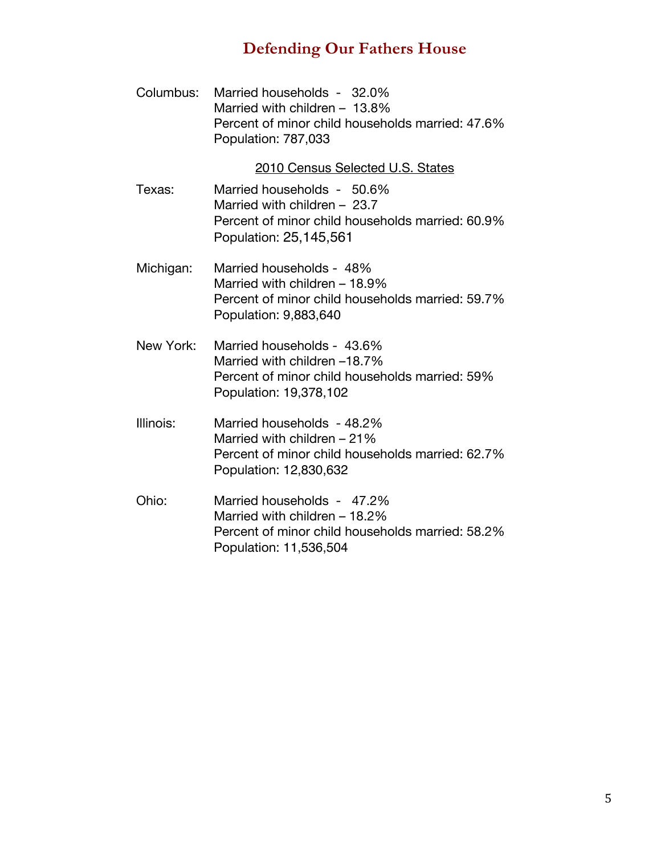| Columbus: | Married households - 32.0%<br>Married with children - 13.8%<br>Percent of minor child households married: 47.6%<br>Population: 787,033    |
|-----------|-------------------------------------------------------------------------------------------------------------------------------------------|
|           | 2010 Census Selected U.S. States                                                                                                          |
| Texas:    | Married households - 50.6%<br>Married with children $-23.7$<br>Percent of minor child households married: 60.9%<br>Population: 25,145,561 |
| Michigan: | Married households - 48%<br>Married with children - 18.9%<br>Percent of minor child households married: 59.7%<br>Population: 9,883,640    |
| New York: | Married households - 43.6%<br>Married with children -18.7%<br>Percent of minor child households married: 59%<br>Population: 19,378,102    |
| Illinois: | Married households - 48.2%<br>Married with children - 21%<br>Percent of minor child households married: 62.7%<br>Population: 12,830,632   |
| Ohio:     | Married households - 47.2%<br>Married with children - 18.2%<br>Percent of minor child households married: 58.2%<br>Population: 11,536,504 |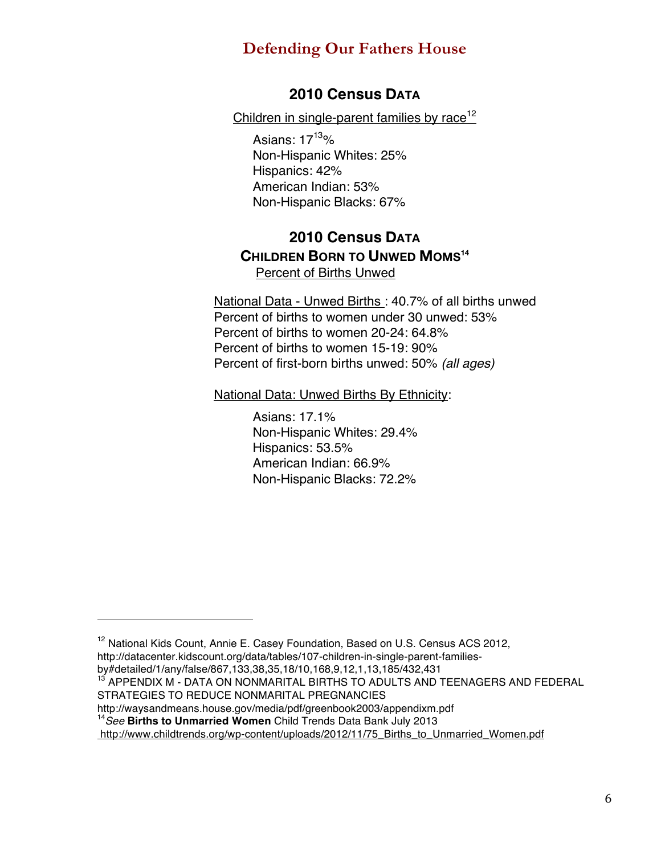### **2010 Census DATA**

Children in single-parent families by race<sup>12</sup>

Asians:  $17^{13}$ % Non-Hispanic Whites: 25% Hispanics: 42% American Indian: 53% Non-Hispanic Blacks: 67%

### **2010 Census DATA CHILDREN BORN TO UNWED MOMS14** Percent of Births Unwed

National Data - Unwed Births : 40.7% of all births unwed Percent of births to women under 30 unwed: 53% Percent of births to women 20-24: 64.8% Percent of births to women 15-19: 90% Percent of first-born births unwed: 50% *(all ages)*

National Data: Unwed Births By Ethnicity:

Asians: 17.1% Non-Hispanic Whites: 29.4% Hispanics: 53.5% American Indian: 66.9% Non-Hispanic Blacks: 72.2%

<sup>&</sup>lt;sup>12</sup> National Kids Count, Annie E. Casey Foundation, Based on U.S. Census ACS 2012,

http://datacenter.kidscount.org/data/tables/107-children-in-single-parent-families-

by#detailed/1/any/false/867,133,38,35,18/10,168,9,12,1,13,185/432,431

<sup>&</sup>lt;sup>13</sup> APPENDIX M - DATA ON NONMARITAL BIRTHS TO ADULTS AND TEENAGERS AND FEDERAL STRATEGIES TO REDUCE NONMARITAL PREGNANCIES

http://waysandmeans.house.gov/media/pdf/greenbook2003/appendixm.pdf

<sup>14</sup>*See* **Births to Unmarried Women** Child Trends Data Bank July 2013

http://www.childtrends.org/wp-content/uploads/2012/11/75\_Births\_to\_Unmarried\_Women.pdf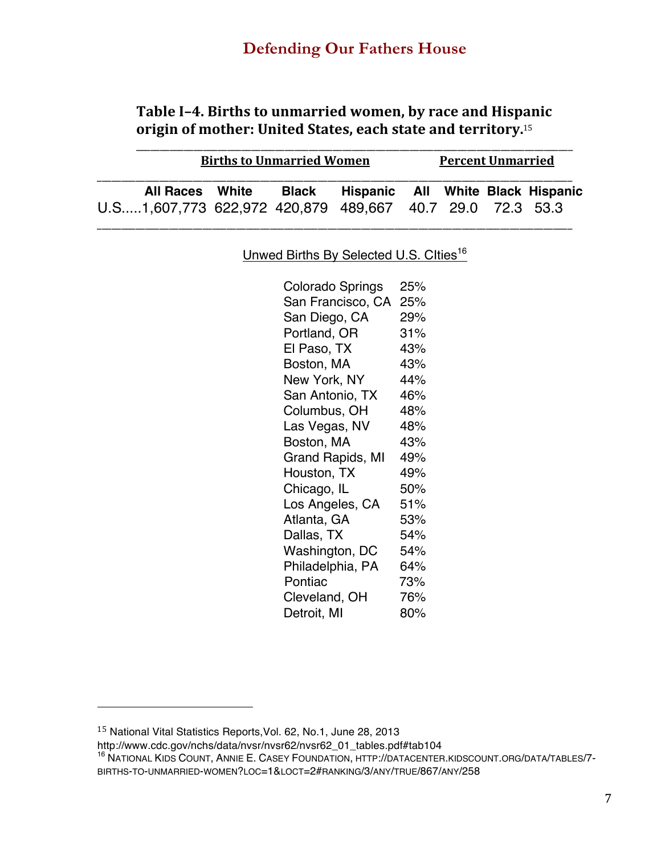## Table I-4. Births to unmarried women, by race and Hispanic origin of mother: United States, each state and territory.<sup>15</sup>

| <b>Births to Unmarried Women</b>                         |  | <b>Percent Unmarried</b> |                                   |  |  |  |  |
|----------------------------------------------------------|--|--------------------------|-----------------------------------|--|--|--|--|
| <b>All Races</b> White                                   |  | Black                    | Hispanic All White Black Hispanic |  |  |  |  |
| U.S1,607,773 622,972 420,879 489,667 40.7 29.0 72.3 53.3 |  |                          |                                   |  |  |  |  |

Unwed Births By Selected U.S. Clties<sup>16</sup>

| Colorado Springs  | 25% |
|-------------------|-----|
| San Francisco, CA | 25% |
| San Diego, CA     | 29% |
| Portland, OR      | 31% |
| El Paso, TX       | 43% |
| Boston, MA        | 43% |
| New York, NY      | 44% |
| San Antonio, TX   | 46% |
| Columbus, OH      | 48% |
| Las Vegas, NV     | 48% |
| Boston, MA        | 43% |
| Grand Rapids, MI  | 49% |
| Houston, TX       | 49% |
| Chicago, IL       | 50% |
| Los Angeles, CA   | 51% |
| Atlanta, GA       | 53% |
| Dallas, TX        | 54% |
| Washington, DC    | 54% |
| Philadelphia, PA  | 64% |
| Pontiac           | 73% |
| Cleveland, OH     | 76% |
| Detroit, MI       | 80% |

 

http://www.cdc.gov/nchs/data/nvsr/nvsr62/nvsr62\_01\_tables.pdf#tab104

<sup>15</sup> National Vital Statistics Reports,Vol. 62, No.1, June 28, 2013

<sup>16</sup> NATIONAL KIDS COUNT, ANNIE E. CASEY FOUNDATION, HTTP://DATACENTER.KIDSCOUNT.ORG/DATA/TABLES/7- BIRTHS-TO-UNMARRIED-WOMEN?LOC=1&LOCT=2#RANKING/3/ANY/TRUE/867/ANY/258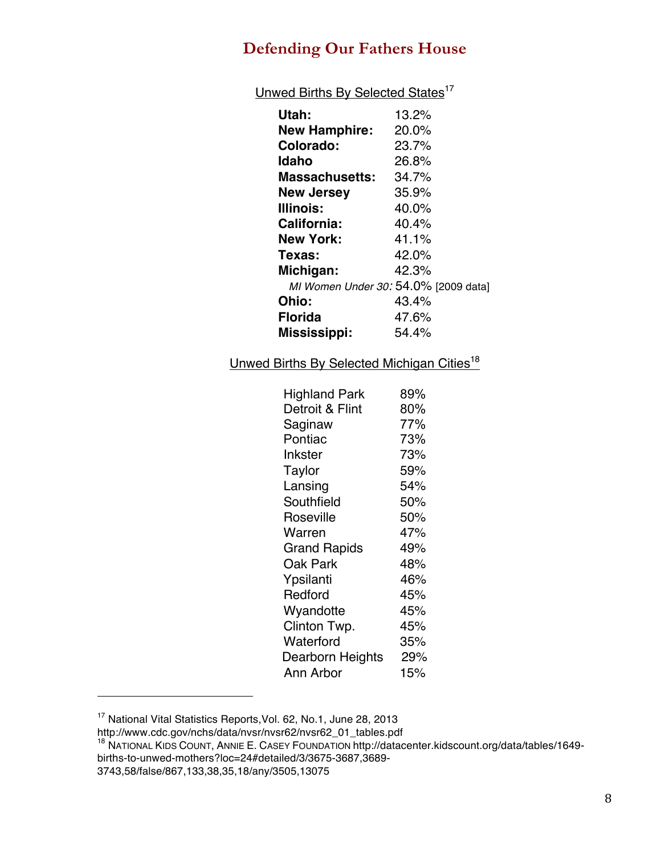Unwed Births By Selected States<sup>17</sup>

| Utah:                                | 13.2% |
|--------------------------------------|-------|
| <b>New Hamphire:</b>                 | 20.0% |
| Colorado:                            | 23.7% |
| Idaho                                | 26.8% |
| <b>Massachusetts:</b>                | 34.7% |
| <b>New Jersey</b>                    | 35.9% |
| <b>Illinois:</b>                     | 40.0% |
| <b>California:</b>                   | 40.4% |
| <b>New York:</b>                     | 41.1% |
| Texas:                               | 42.0% |
| Michigan:                            | 42.3% |
| MI Women Under 30: 54.0% [2009 data] |       |
| <b>Ohio:</b>                         | 43.4% |
| <b>Florida</b>                       | 47.6% |
| Mississippi:                         | 54.4% |
|                                      |       |

Unwed Births By Selected Michigan Cities<sup>18</sup>

| <b>Highland Park</b> | 89% |
|----------------------|-----|
| Detroit & Flint      | 80% |
| Saginaw              | 77% |
| Pontiac              | 73% |
| Inkster              | 73% |
| Taylor               | 59% |
| Lansing              | 54% |
| Southfield           | 50% |
| Roseville            | 50% |
| Warren               | 47% |
| Grand Rapids         | 49% |
| Oak Park             | 48% |
| Ypsilanti            | 46% |
| Redford              | 45% |
| Wyandotte            | 45% |
| Clinton Twp.         | 45% |
| Waterford            | 35% |
| Dearborn Heights     | 29% |
| Ann Arbor            | 15% |

<sup>&</sup>lt;sup>17</sup> National Vital Statistics Reports, Vol. 62, No.1, June 28, 2013

http://www.cdc.gov/nchs/data/nvsr/nvsr62/nvsr62\_01\_tables.pdf

<sup>18</sup> NATIONAL KIDS COUNT, ANNIE E. CASEY FOUNDATION http://datacenter.kidscount.org/data/tables/1649 births-to-unwed-mothers?loc=24#detailed/3/3675-3687,3689-